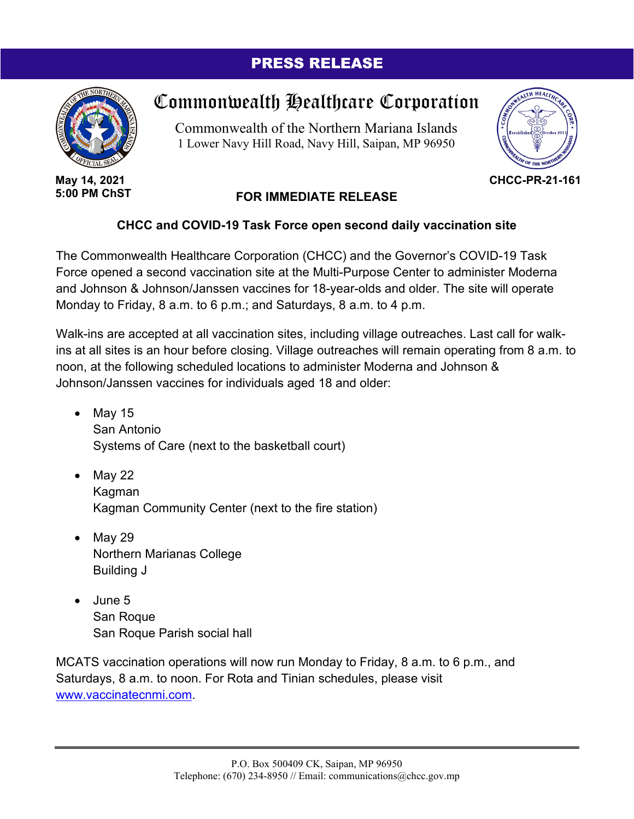## PRESS RELEASE



**May 14, 2021 5:00 PM ChST**

## Commonwealth Healthcare Corporation

Commonwealth of the Northern Mariana Islands 1 Lower Navy Hill Road, Navy Hill, Saipan, MP 96950



**CHCC-PR-21-161**

## **FOR IMMEDIATE RELEASE**

## **CHCC and COVID-19 Task Force open second daily vaccination site**

The Commonwealth Healthcare Corporation (CHCC) and the Governor's COVID-19 Task Force opened a second vaccination site at the Multi-Purpose Center to administer Moderna and Johnson & Johnson/Janssen vaccines for 18-year-olds and older. The site will operate Monday to Friday, 8 a.m. to 6 p.m.; and Saturdays, 8 a.m. to 4 p.m.

Walk-ins are accepted at all vaccination sites, including village outreaches. Last call for walkins at all sites is an hour before closing. Village outreaches will remain operating from 8 a.m. to noon, at the following scheduled locations to administer Moderna and Johnson & Johnson/Janssen vaccines for individuals aged 18 and older:

- $\bullet$  May 15 San Antonio Systems of Care (next to the basketball court)
- May 22 Kagman Kagman Community Center (next to the fire station)
- May 29 Northern Marianas College Building J
- June 5 San Roque San Roque Parish social hall

MCATS vaccination operations will now run Monday to Friday, 8 a.m. to 6 p.m., and Saturdays, 8 a.m. to noon. For Rota and Tinian schedules, please visit www.vaccinatecnmi.com.